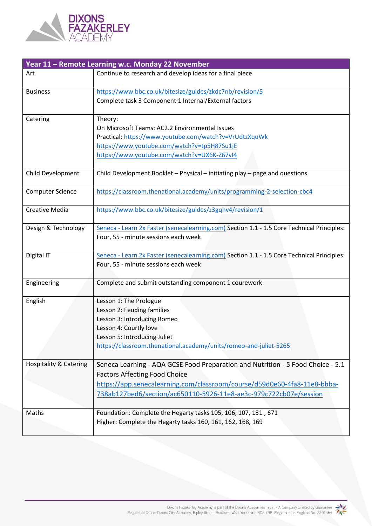

| Year 11 - Remote Learning w.c. Monday 22 November |                                                                                            |  |  |
|---------------------------------------------------|--------------------------------------------------------------------------------------------|--|--|
| Art                                               | Continue to research and develop ideas for a final piece                                   |  |  |
| <b>Business</b>                                   | https://www.bbc.co.uk/bitesize/guides/zkdc7nb/revision/5                                   |  |  |
|                                                   | Complete task 3 Component 1 Internal/External factors                                      |  |  |
| Catering                                          | Theory:                                                                                    |  |  |
|                                                   | On Microsoft Teams: AC2.2 Environmental Issues                                             |  |  |
|                                                   | Practical: https://www.youtube.com/watch?v=VrUdtzXquWk                                     |  |  |
|                                                   | https://www.youtube.com/watch?v=tp5H87Su1jE                                                |  |  |
|                                                   | https://www.youtube.com/watch?v=UX6K-Z67vI4                                                |  |  |
| Child Development                                 | Child Development Booklet - Physical - initiating play - page and questions                |  |  |
|                                                   |                                                                                            |  |  |
| <b>Computer Science</b>                           | https://classroom.thenational.academy/units/programming-2-selection-cbc4                   |  |  |
| <b>Creative Media</b>                             | https://www.bbc.co.uk/bitesize/guides/z3gqhv4/revision/1                                   |  |  |
|                                                   |                                                                                            |  |  |
| Design & Technology                               | Seneca - Learn 2x Faster (senecalearning.com) Section 1.1 - 1.5 Core Technical Principles: |  |  |
|                                                   | Four, 55 - minute sessions each week                                                       |  |  |
| Digital IT                                        | Seneca - Learn 2x Faster (senecalearning.com) Section 1.1 - 1.5 Core Technical Principles: |  |  |
|                                                   | Four, 55 - minute sessions each week                                                       |  |  |
| Engineering                                       | Complete and submit outstanding component 1 courework                                      |  |  |
| English                                           | Lesson 1: The Prologue                                                                     |  |  |
|                                                   | Lesson 2: Feuding families                                                                 |  |  |
|                                                   | Lesson 3: Introducing Romeo                                                                |  |  |
|                                                   | Lesson 4: Courtly love                                                                     |  |  |
|                                                   | Lesson 5: Introducing Juliet                                                               |  |  |
|                                                   | https://classroom.thenational.academy/units/romeo-and-juliet-5265                          |  |  |
| <b>Hospitality &amp; Catering</b>                 | Seneca Learning - AQA GCSE Food Preparation and Nutrition - 5 Food Choice - 5.1            |  |  |
|                                                   | <b>Factors Affecting Food Choice</b>                                                       |  |  |
|                                                   | https://app.senecalearning.com/classroom/course/d59d0e60-4fa8-11e8-bbba-                   |  |  |
|                                                   | 738ab127bed6/section/ac650110-5926-11e8-ae3c-979c722cb07e/session                          |  |  |
| Maths                                             | Foundation: Complete the Hegarty tasks 105, 106, 107, 131, 671                             |  |  |
|                                                   | Higher: Complete the Hegarty tasks 160, 161, 162, 168, 169                                 |  |  |
|                                                   |                                                                                            |  |  |